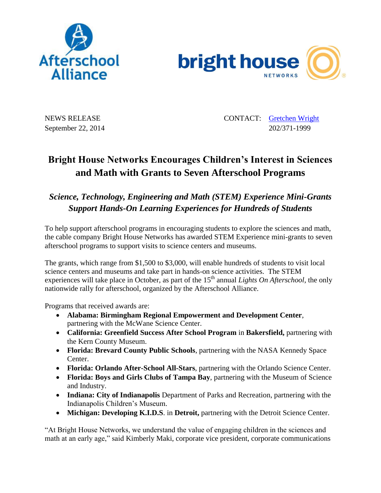



NEWS RELEASE CONTACT: [Gretchen Wright](mailto:gretchen@prsolutionsdc.com) September 22, 2014 202/371-1999

## **Bright House Networks Encourages Children's Interest in Sciences and Math with Grants to Seven Afterschool Programs**

## *Science, Technology, Engineering and Math (STEM) Experience Mini-Grants Support Hands-On Learning Experiences for Hundreds of Students*

To help support afterschool programs in encouraging students to explore the sciences and math, the cable company Bright House Networks has awarded STEM Experience mini-grants to seven afterschool programs to support visits to science centers and museums.

The grants, which range from \$1,500 to \$3,000, will enable hundreds of students to visit local science centers and museums and take part in hands-on science activities. The STEM experiences will take place in October, as part of the 15<sup>th</sup> annual *Lights On Afterschool*, the only nationwide rally for afterschool, organized by the Afterschool Alliance.

Programs that received awards are:

- **Alabama: Birmingham Regional Empowerment and Development Center**, partnering with the McWane Science Center.
- **California: Greenfield Success After School Program** in **Bakersfield,** partnering with the Kern County Museum.
- **Florida: Brevard County Public Schools**, partnering with the NASA Kennedy Space Center.
- **Florida: Orlando After-School All-Stars**, partnering with the Orlando Science Center.
- **Florida: Boys and Girls Clubs of Tampa Bay**, partnering with the Museum of Science and Industry.
- **Indiana: City of Indianapolis** Department of Parks and Recreation, partnering with the Indianapolis Children's Museum.
- **Michigan: Developing K.I.D.S**. in **Detroit,** partnering with the Detroit Science Center.

"At Bright House Networks, we understand the value of engaging children in the sciences and math at an early age," said Kimberly Maki, corporate vice president, corporate communications